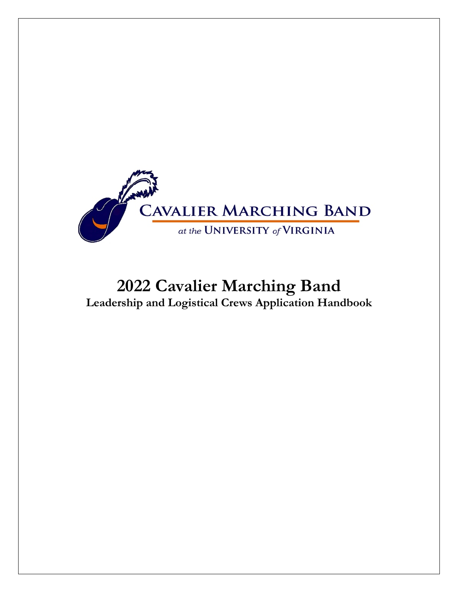

# **2022 Cavalier Marching Band Leadership and Logistical Crews Application Handbook**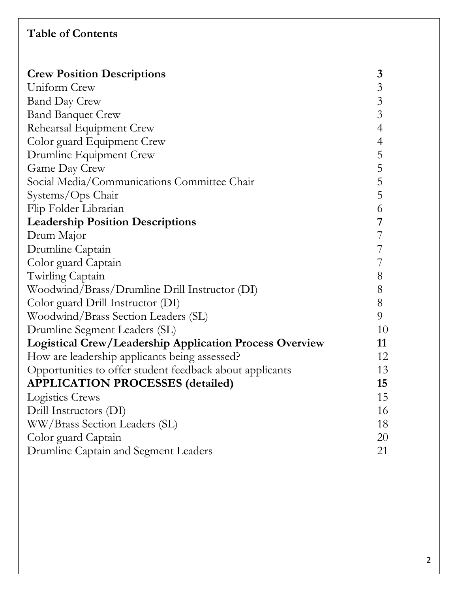# **Table of Contents**

| <b>Crew Position Descriptions</b>                              | 3              |
|----------------------------------------------------------------|----------------|
| Uniform Crew                                                   | $\mathfrak{Z}$ |
| <b>Band Day Crew</b>                                           | $\mathfrak{Z}$ |
| <b>Band Banquet Crew</b>                                       | 3              |
| Rehearsal Equipment Crew                                       | $\overline{4}$ |
| Color guard Equipment Crew                                     | $\overline{4}$ |
| Drumline Equipment Crew                                        | 5              |
| Game Day Crew                                                  | 5              |
| Social Media/Communications Committee Chair                    | 5              |
| Systems/Ops Chair                                              | 5              |
| Flip Folder Librarian                                          | 6              |
| <b>Leadership Position Descriptions</b>                        | 7              |
| Drum Major                                                     | 7              |
| Drumline Captain                                               |                |
| Color guard Captain                                            |                |
| Twirling Captain                                               | 8              |
| Woodwind/Brass/Drumline Drill Instructor (DI)                  | 8              |
| Color guard Drill Instructor (DI)                              | 8              |
| Woodwind/Brass Section Leaders (SL)                            | 9              |
| Drumline Segment Leaders (SL)                                  | 10             |
| <b>Logistical Crew/Leadership Application Process Overview</b> | 11             |
| How are leadership applicants being assessed?                  | 12             |
| Opportunities to offer student feedback about applicants       | 13             |
| <b>APPLICATION PROCESSES (detailed)</b>                        | 15             |
| Logistics Crews                                                | 15             |
| Drill Instructors (DI)                                         | 16             |
| WW/Brass Section Leaders (SL)                                  | 18             |
| Color guard Captain                                            | 20             |
| Drumline Captain and Segment Leaders                           | 21             |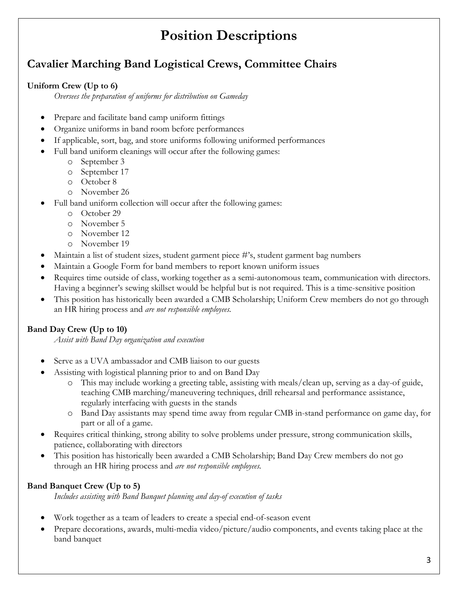# **Position Descriptions**

# **Cavalier Marching Band Logistical Crews, Committee Chairs**

### **Uniform Crew (Up to 6)**

*Oversees the preparation of uniforms for distribution on Gameday*

- Prepare and facilitate band camp uniform fittings
- Organize uniforms in band room before performances
- If applicable, sort, bag, and store uniforms following uniformed performances
- Full band uniform cleanings will occur after the following games:
	- o September 3
	- o September 17
	- o October 8
	- o November 26
- Full band uniform collection will occur after the following games:
	- o October 29
	- o November 5
	- o November 12
	- o November 19
- Maintain a list of student sizes, student garment piece #'s, student garment bag numbers
- Maintain a Google Form for band members to report known uniform issues
- Requires time outside of class, working together as a semi-autonomous team, communication with directors. Having a beginner's sewing skillset would be helpful but is not required. This is a time-sensitive position
- This position has historically been awarded a CMB Scholarship; Uniform Crew members do not go through an HR hiring process and *are not responsible employees.*

### **Band Day Crew (Up to 10)**

*Assist with Band Day organization and execution*

- Serve as a UVA ambassador and CMB liaison to our guests
- Assisting with logistical planning prior to and on Band Day
	- o This may include working a greeting table, assisting with meals/clean up, serving as a day-of guide, teaching CMB marching/maneuvering techniques, drill rehearsal and performance assistance, regularly interfacing with guests in the stands
	- o Band Day assistants may spend time away from regular CMB in-stand performance on game day, for part or all of a game.
- Requires critical thinking, strong ability to solve problems under pressure, strong communication skills, patience, collaborating with directors
- This position has historically been awarded a CMB Scholarship; Band Day Crew members do not go through an HR hiring process and *are not responsible employees.*

### **Band Banquet Crew (Up to 5)**

*Includes assisting with Band Banquet planning and day-of execution of tasks*

- Work together as a team of leaders to create a special end-of-season event
- Prepare decorations, awards, multi-media video/picture/audio components, and events taking place at the band banquet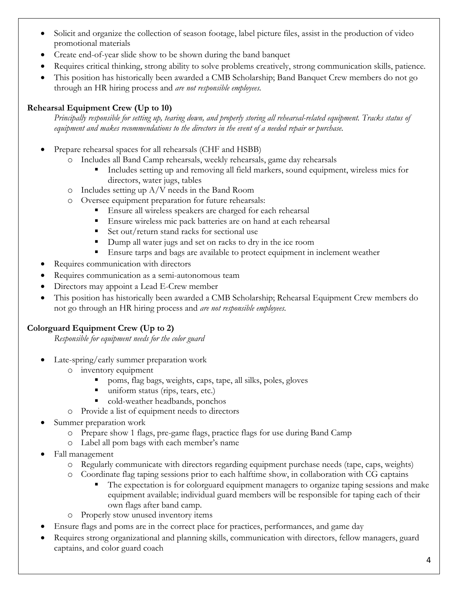- Solicit and organize the collection of season footage, label picture files, assist in the production of video promotional materials
- Create end-of-year slide show to be shown during the band banquet
- Requires critical thinking, strong ability to solve problems creatively, strong communication skills, patience.
- This position has historically been awarded a CMB Scholarship; Band Banquet Crew members do not go through an HR hiring process and *are not responsible employees.*

### **Rehearsal Equipment Crew (Up to 10)**

*Principally responsible for setting up, tearing down, and properly storing all rehearsal-related equipment. Tracks status of equipment and makes recommendations to the directors in the event of a needed repair or purchase.*

- Prepare rehearsal spaces for all rehearsals (CHF and HSBB)
	- o Includes all Band Camp rehearsals, weekly rehearsals, game day rehearsals
		- Includes setting up and removing all field markers, sound equipment, wireless mics for directors, water jugs, tables
	- o Includes setting up A/V needs in the Band Room
	- o Oversee equipment preparation for future rehearsals:
		- Ensure all wireless speakers are charged for each rehearsal
		- Ensure wireless mic pack batteries are on hand at each rehearsal
		- Set out/return stand racks for sectional use
		- Dump all water jugs and set on racks to dry in the ice room
		- Ensure tarps and bags are available to protect equipment in inclement weather
- Requires communication with directors
- Requires communication as a semi-autonomous team
- Directors may appoint a Lead E-Crew member
- This position has historically been awarded a CMB Scholarship; Rehearsal Equipment Crew members do not go through an HR hiring process and *are not responsible employees.*

### **Colorguard Equipment Crew (Up to 2)**

*Responsible for equipment needs for the color guard* 

- Late-spring/early summer preparation work
	- o inventory equipment
		- poms, flag bags, weights, caps, tape, all silks, poles, gloves
		- uniform status (rips, tears, etc.)
		- § cold-weather headbands, ponchos
	- o Provide a list of equipment needs to directors
- Summer preparation work
	- o Prepare show 1 flags, pre-game flags, practice flags for use during Band Camp
	- o Label all pom bags with each member's name
- Fall management
	- o Regularly communicate with directors regarding equipment purchase needs (tape, caps, weights)
	- o Coordinate flag taping sessions prior to each halftime show, in collaboration with CG captains
		- The expectation is for colorguard equipment managers to organize taping sessions and make equipment available; individual guard members will be responsible for taping each of their own flags after band camp.
	- o Properly stow unused inventory items
- Ensure flags and poms are in the correct place for practices, performances, and game day
- Requires strong organizational and planning skills, communication with directors, fellow managers, guard captains, and color guard coach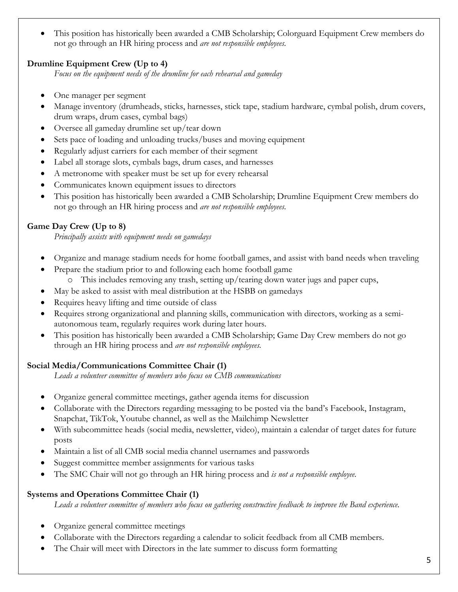• This position has historically been awarded a CMB Scholarship; Colorguard Equipment Crew members do not go through an HR hiring process and *are not responsible employees.*

### **Drumline Equipment Crew (Up to 4)**

*Focus on the equipment needs of the drumline for each rehearsal and gameday*

- One manager per segment
- Manage inventory (drumheads, sticks, harnesses, stick tape, stadium hardware, cymbal polish, drum covers, drum wraps, drum cases, cymbal bags)
- Oversee all gameday drumline set up/tear down
- Sets pace of loading and unloading trucks/buses and moving equipment
- Regularly adjust carriers for each member of their segment
- Label all storage slots, cymbals bags, drum cases, and harnesses
- A metronome with speaker must be set up for every rehearsal
- Communicates known equipment issues to directors
- This position has historically been awarded a CMB Scholarship; Drumline Equipment Crew members do not go through an HR hiring process and *are not responsible employees.*

### **Game Day Crew (Up to 8)**

*Principally assists with equipment needs on gamedays* 

- Organize and manage stadium needs for home football games, and assist with band needs when traveling
	- Prepare the stadium prior to and following each home football game
		- o This includes removing any trash, setting up/tearing down water jugs and paper cups,
- May be asked to assist with meal distribution at the HSBB on gamedays
- Requires heavy lifting and time outside of class
- Requires strong organizational and planning skills, communication with directors, working as a semiautonomous team, regularly requires work during later hours.
- This position has historically been awarded a CMB Scholarship; Game Day Crew members do not go through an HR hiring process and *are not responsible employees.*

### **Social Media/Communications Committee Chair (1)**

*Leads a volunteer committee of members who focus on CMB communications*

- Organize general committee meetings, gather agenda items for discussion
- Collaborate with the Directors regarding messaging to be posted via the band's Facebook, Instagram, Snapchat, TikTok, Youtube channel, as well as the Mailchimp Newsletter
- With subcommittee heads (social media, newsletter, video), maintain a calendar of target dates for future posts
- Maintain a list of all CMB social media channel usernames and passwords
- Suggest committee member assignments for various tasks
- The SMC Chair will not go through an HR hiring process and *is not a responsible employee.*

### **Systems and Operations Committee Chair (1)**

*Leads a volunteer committee of members who focus on gathering constructive feedback to improve the Band experience.*

- Organize general committee meetings
- Collaborate with the Directors regarding a calendar to solicit feedback from all CMB members.
- The Chair will meet with Directors in the late summer to discuss form formatting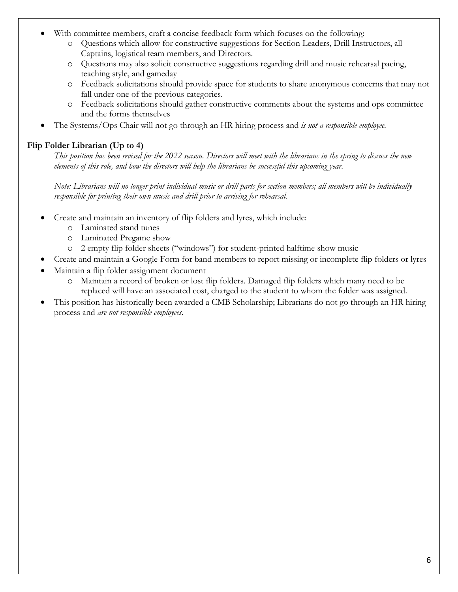- With committee members, craft a concise feedback form which focuses on the following:
	- o Questions which allow for constructive suggestions for Section Leaders, Drill Instructors, all Captains, logistical team members, and Directors.
	- o Questions may also solicit constructive suggestions regarding drill and music rehearsal pacing, teaching style, and gameday
	- o Feedback solicitations should provide space for students to share anonymous concerns that may not fall under one of the previous categories.
	- o Feedback solicitations should gather constructive comments about the systems and ops committee and the forms themselves
- The Systems/Ops Chair will not go through an HR hiring process and *is not a responsible employee.*

### **Flip Folder Librarian (Up to 4)**

*This position has been revised for the 2022 season. Directors will meet with the librarians in the spring to discuss the new elements of this role, and how the directors will help the librarians be successful this upcoming year.*

*Note: Librarians will no longer print individual music or drill parts for section members; all members will be individually responsible for printing their own music and drill prior to arriving for rehearsal.* 

- Create and maintain an inventory of flip folders and lyres, which include:
	- o Laminated stand tunes
	- o Laminated Pregame show
	- o 2 empty flip folder sheets ("windows") for student-printed halftime show music
- Create and maintain a Google Form for band members to report missing or incomplete flip folders or lyres
- Maintain a flip folder assignment document
	- o Maintain a record of broken or lost flip folders. Damaged flip folders which many need to be replaced will have an associated cost, charged to the student to whom the folder was assigned.
- This position has historically been awarded a CMB Scholarship; Librarians do not go through an HR hiring process and *are not responsible employees.*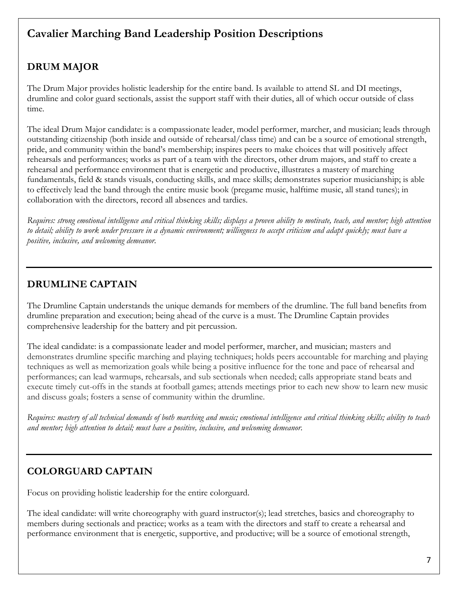# **Cavalier Marching Band Leadership Position Descriptions**

# **DRUM MAJOR**

The Drum Major provides holistic leadership for the entire band. Is available to attend SL and DI meetings, drumline and color guard sectionals, assist the support staff with their duties, all of which occur outside of class time.

The ideal Drum Major candidate: is a compassionate leader, model performer, marcher, and musician; leads through outstanding citizenship (both inside and outside of rehearsal/class time) and can be a source of emotional strength, pride, and community within the band's membership; inspires peers to make choices that will positively affect rehearsals and performances; works as part of a team with the directors, other drum majors, and staff to create a rehearsal and performance environment that is energetic and productive, illustrates a mastery of marching fundamentals, field & stands visuals, conducting skills, and mace skills; demonstrates superior musicianship; is able to effectively lead the band through the entire music book (pregame music, halftime music, all stand tunes); in collaboration with the directors, record all absences and tardies.

*Requires: strong emotional intelligence and critical thinking skills; displays a proven ability to motivate, teach, and mentor; high attention to detail; ability to work under pressure in a dynamic environment; willingness to accept criticism and adapt quickly; must have a positive, inclusive, and welcoming demeanor.*

### **DRUMLINE CAPTAIN**

The Drumline Captain understands the unique demands for members of the drumline. The full band benefits from drumline preparation and execution; being ahead of the curve is a must. The Drumline Captain provides comprehensive leadership for the battery and pit percussion.

The ideal candidate: is a compassionate leader and model performer, marcher, and musician; masters and demonstrates drumline specific marching and playing techniques; holds peers accountable for marching and playing techniques as well as memorization goals while being a positive influence for the tone and pace of rehearsal and performances; can lead warmups, rehearsals, and sub sectionals when needed; calls appropriate stand beats and execute timely cut-offs in the stands at football games; attends meetings prior to each new show to learn new music and discuss goals; fosters a sense of community within the drumline.

*Requires: mastery of all technical demands of both marching and music; emotional intelligence and critical thinking skills; ability to teach and mentor; high attention to detail; must have a positive, inclusive, and welcoming demeanor.*

### **COLORGUARD CAPTAIN**

Focus on providing holistic leadership for the entire colorguard.

The ideal candidate: will write choreography with guard instructor(s); lead stretches, basics and choreography to members during sectionals and practice; works as a team with the directors and staff to create a rehearsal and performance environment that is energetic, supportive, and productive; will be a source of emotional strength,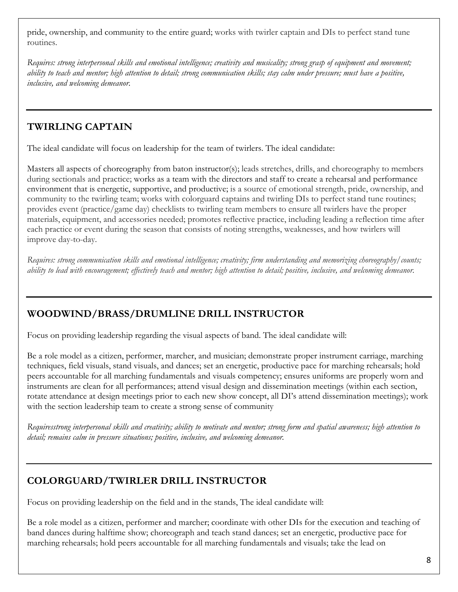pride, ownership, and community to the entire guard; works with twirler captain and DIs to perfect stand tune routines.

*Requires: strong interpersonal skills and emotional intelligence; creativity and musicality; strong grasp of equipment and movement; ability to teach and mentor; high attention to detail; strong communication skills; stay calm under pressure; must have a positive, inclusive, and welcoming demeanor.*

### **TWIRLING CAPTAIN**

The ideal candidate will focus on leadership for the team of twirlers. The ideal candidate:

Masters all aspects of choreography from baton instructor(s); leads stretches, drills, and choreography to members during sectionals and practice; works as a team with the directors and staff to create a rehearsal and performance environment that is energetic, supportive, and productive; is a source of emotional strength, pride, ownership, and community to the twirling team; works with colorguard captains and twirling DIs to perfect stand tune routines; provides event (practice/game day) checklists to twirling team members to ensure all twirlers have the proper materials, equipment, and accessories needed; promotes reflective practice, including leading a reflection time after each practice or event during the season that consists of noting strengths, weaknesses, and how twirlers will improve day-to-day.

*Requires: strong communication skills and emotional intelligence; creativity; firm understanding and memorizing choreography/counts; ability to lead with encouragement; effectively teach and mentor; high attention to detail; positive, inclusive, and welcoming demeanor.*

### **WOODWIND/BRASS/DRUMLINE DRILL INSTRUCTOR**

Focus on providing leadership regarding the visual aspects of band. The ideal candidate will:

Be a role model as a citizen, performer, marcher, and musician; demonstrate proper instrument carriage, marching techniques, field visuals, stand visuals, and dances; set an energetic, productive pace for marching rehearsals; hold peers accountable for all marching fundamentals and visuals competency; ensures uniforms are properly worn and instruments are clean for all performances; attend visual design and dissemination meetings (within each section, rotate attendance at design meetings prior to each new show concept, all DI's attend dissemination meetings); work with the section leadership team to create a strong sense of community

*Requiresstrong interpersonal skills and creativity; ability to motivate and mentor; strong form and spatial awareness; high attention to detail; remains calm in pressure situations; positive, inclusive, and welcoming demeanor.*

### **COLORGUARD/TWIRLER DRILL INSTRUCTOR**

Focus on providing leadership on the field and in the stands, The ideal candidate will:

Be a role model as a citizen, performer and marcher; coordinate with other DIs for the execution and teaching of band dances during halftime show; choreograph and teach stand dances; set an energetic, productive pace for marching rehearsals; hold peers accountable for all marching fundamentals and visuals; take the lead on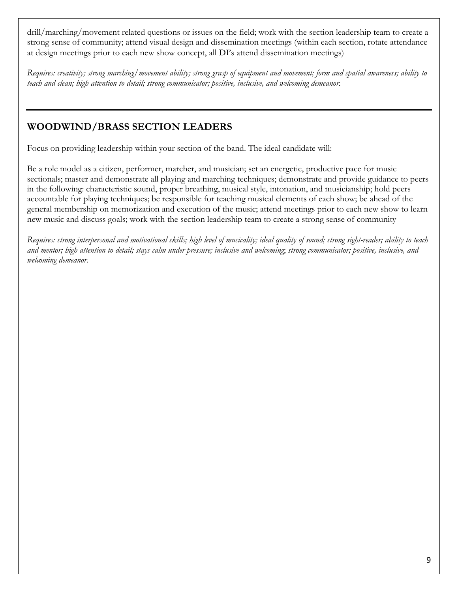drill/marching/movement related questions or issues on the field; work with the section leadership team to create a strong sense of community; attend visual design and dissemination meetings (within each section, rotate attendance at design meetings prior to each new show concept, all DI's attend dissemination meetings)

*Requires: creativity; strong marching/movement ability; strong grasp of equipment and movement; form and spatial awareness; ability to teach and clean; high attention to detail; strong communicator; positive, inclusive, and welcoming demeanor.*

### **WOODWIND/BRASS SECTION LEADERS**

Focus on providing leadership within your section of the band. The ideal candidate will:

Be a role model as a citizen, performer, marcher, and musician; set an energetic, productive pace for music sectionals; master and demonstrate all playing and marching techniques; demonstrate and provide guidance to peers in the following: characteristic sound, proper breathing, musical style, intonation, and musicianship; hold peers accountable for playing techniques; be responsible for teaching musical elements of each show; be ahead of the general membership on memorization and execution of the music; attend meetings prior to each new show to learn new music and discuss goals; work with the section leadership team to create a strong sense of community

*Requires: strong interpersonal and motivational skills; high level of musicality; ideal quality of sound; strong sight-reader; ability to teach and mentor; high attention to detail; stays calm under pressure; inclusive and welcoming*; *strong communicator; positive, inclusive, and welcoming demeanor.*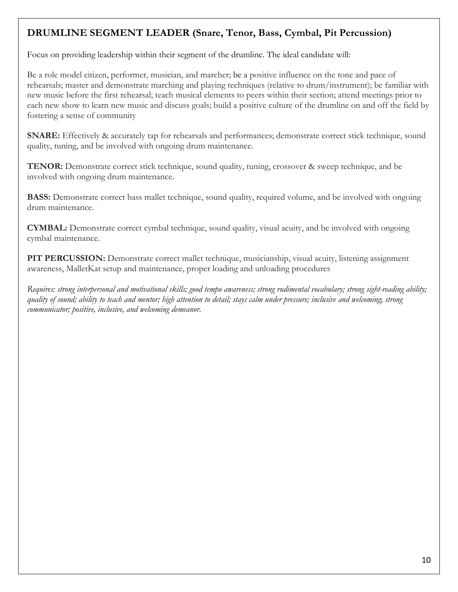### **DRUMLINE SEGMENT LEADER (Snare, Tenor, Bass, Cymbal, Pit Percussion)**

Focus on providing leadership within their segment of the drumline. The ideal candidate will:

Be a role model citizen, performer, musician, and marcher; be a positive influence on the tone and pace of rehearsals; master and demonstrate marching and playing techniques (relative to drum/instrument); be familiar with new music before the first rehearsal; teach musical elements to peers within their section; attend meetings prior to each new show to learn new music and discuss goals; build a positive culture of the drumline on and off the field by fostering a sense of community

**SNARE:** Effectively & accurately tap for rehearsals and performances; demonstrate correct stick technique, sound quality, tuning, and be involved with ongoing drum maintenance.

**TENOR:** Demonstrate correct stick technique, sound quality, tuning, crossover & sweep technique, and be involved with ongoing drum maintenance.

**BASS:** Demonstrate correct bass mallet technique, sound quality, required volume, and be involved with ongoing drum maintenance.

**CYMBAL:** Demonstrate correct cymbal technique, sound quality, visual acuity, and be involved with ongoing cymbal maintenance.

**PIT PERCUSSION:** Demonstrate correct mallet technique, musicianship, visual acuity, listening assignment awareness, MalletKat setup and maintenance, proper loading and unloading procedures

*Requires: strong interpersonal and motivational skills; good tempo awareness; strong rudimental vocabulary; strong sight-reading ability; quality of sound; ability to teach and mentor; high attention to detail; stays calm under pressure; inclusive and welcoming*; *strong communicator; positive, inclusive, and welcoming demeanor.*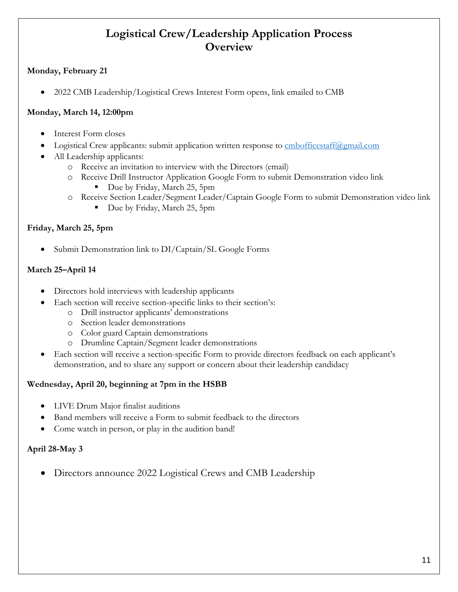### **Logistical Crew/Leadership Application Process Overview**

### **Monday, February 21**

• 2022 CMB Leadership/Logistical Crews Interest Form opens, link emailed to CMB

### **Monday, March 14, 12:00pm**

- Interest Form closes
	- Logistical Crew applicants: submit application written response to **cmbofficestaff@gmail.com**
- All Leadership applicants:
	- o Receive an invitation to interview with the Directors (email)
	- o Receive Drill Instructor Application Google Form to submit Demonstration video link
		- Due by Friday, March 25, 5pm
	- o Receive Section Leader/Segment Leader/Captain Google Form to submit Demonstration video link
		- Due by Friday, March 25, 5pm

### **Friday, March 25, 5pm**

Submit Demonstration link to DI/Captain/SL Google Forms

### **March 25–April 14**

- Directors hold interviews with leadership applicants
- Each section will receive section-specific links to their section's:
	- o Drill instructor applicants' demonstrations
	- o Section leader demonstrations
	- o Color guard Captain demonstrations
	- o Drumline Captain/Segment leader demonstrations
- Each section will receive a section-specific Form to provide directors feedback on each applicant's demonstration, and to share any support or concern about their leadership candidacy

### **Wednesday, April 20, beginning at 7pm in the HSBB**

- LIVE Drum Major finalist auditions
- Band members will receive a Form to submit feedback to the directors
- Come watch in person, or play in the audition band!

### **April 28-May 3**

• Directors announce 2022 Logistical Crews and CMB Leadership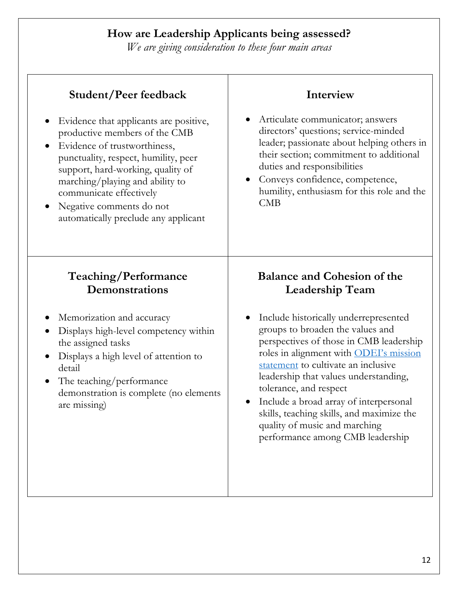# **How are Leadership Applicants being assessed?**

*We are giving consideration to these four main areas*

| Student/Peer feedback                                                                                                                                                                                             | Interview                                                                                                                                                                                                                                                                                                                                                                                                |
|-------------------------------------------------------------------------------------------------------------------------------------------------------------------------------------------------------------------|----------------------------------------------------------------------------------------------------------------------------------------------------------------------------------------------------------------------------------------------------------------------------------------------------------------------------------------------------------------------------------------------------------|
| Evidence that applicants are positive,                                                                                                                                                                            | Articulate communicator; answers                                                                                                                                                                                                                                                                                                                                                                         |
| productive members of the CMB                                                                                                                                                                                     | $\bullet$                                                                                                                                                                                                                                                                                                                                                                                                |
| Evidence of trustworthiness,                                                                                                                                                                                      | directors' questions; service-minded                                                                                                                                                                                                                                                                                                                                                                     |
| $\bullet$                                                                                                                                                                                                         | leader; passionate about helping others in                                                                                                                                                                                                                                                                                                                                                               |
| punctuality, respect, humility, peer                                                                                                                                                                              | their section; commitment to additional                                                                                                                                                                                                                                                                                                                                                                  |
| support, hard-working, quality of                                                                                                                                                                                 | duties and responsibilities                                                                                                                                                                                                                                                                                                                                                                              |
| marching/playing and ability to                                                                                                                                                                                   | Conveys confidence, competence,                                                                                                                                                                                                                                                                                                                                                                          |
| communicate effectively                                                                                                                                                                                           | $\bullet$                                                                                                                                                                                                                                                                                                                                                                                                |
| Negative comments do not                                                                                                                                                                                          | humility, enthusiasm for this role and the                                                                                                                                                                                                                                                                                                                                                               |
| automatically preclude any applicant                                                                                                                                                                              | CMB                                                                                                                                                                                                                                                                                                                                                                                                      |
| Teaching/Performance                                                                                                                                                                                              | <b>Balance and Cohesion of the</b>                                                                                                                                                                                                                                                                                                                                                                       |
| Demonstrations                                                                                                                                                                                                    | <b>Leadership Team</b>                                                                                                                                                                                                                                                                                                                                                                                   |
| Memorization and accuracy                                                                                                                                                                                         | Include historically underrepresented                                                                                                                                                                                                                                                                                                                                                                    |
| Displays high-level competency within<br>the assigned tasks<br>Displays a high level of attention to<br>detail<br>The teaching/performance<br>$\bullet$<br>demonstration is complete (no elements<br>are missing) | groups to broaden the values and<br>perspectives of those in CMB leadership<br>roles in alignment with ODEI's mission<br>statement to cultivate an inclusive<br>leadership that values understanding,<br>tolerance, and respect<br>Include a broad array of interpersonal<br>$\bullet$<br>skills, teaching skills, and maximize the<br>quality of music and marching<br>performance among CMB leadership |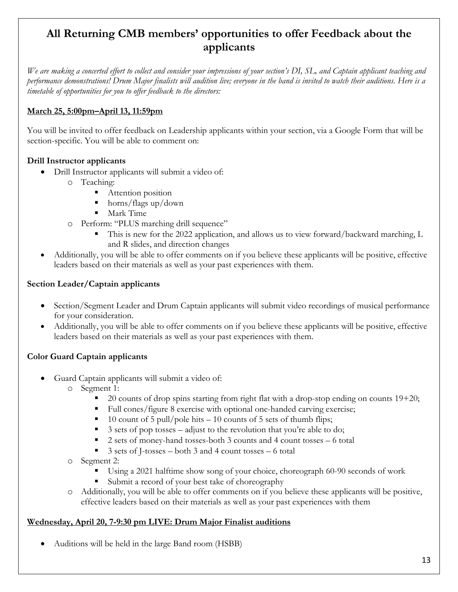# **All Returning CMB members' opportunities to offer Feedback about the applicants**

*We are making a concerted effort to collect and consider your impressions of your section's DI, SL, and Captain applicant teaching and performance demonstrations! Drum Major finalists will audition live; everyone in the band is invited to watch their auditions. Here is a timetable of opportunities for you to offer feedback to the directors:*

### **March 25, 5:00pm–April 13, 11:59pm**

You will be invited to offer feedback on Leadership applicants within your section, via a Google Form that will be section-specific. You will be able to comment on:

### **Drill Instructor applicants**

- Drill Instructor applicants will submit a video of:
	- o Teaching:
		- Attention position
		- horns/flags up/down
		- Mark Time
	- o Perform: "PLUS marching drill sequence"
		- This is new for the 2022 application, and allows us to view forward/backward marching, L and R slides, and direction changes
- Additionally, you will be able to offer comments on if you believe these applicants will be positive, effective leaders based on their materials as well as your past experiences with them.

### **Section Leader/Captain applicants**

- Section/Segment Leader and Drum Captain applicants will submit video recordings of musical performance for your consideration.
- Additionally, you will be able to offer comments on if you believe these applicants will be positive, effective leaders based on their materials as well as your past experiences with them.

### **Color Guard Captain applicants**

- Guard Captain applicants will submit a video of:
	- o Segment 1:
		- $\Box$  20 counts of drop spins starting from right flat with a drop-stop ending on counts 19+20;
		- Full cones/figure 8 exercise with optional one-handed carving exercise;
		- 10 count of 5 pull/pole hits  $-10$  counts of 5 sets of thumb flips;
		- 3 sets of pop tosses adjust to the revolution that you're able to do;
		- 2 sets of money-hand tosses-both 3 counts and 4 count tosses 6 total
		- 3 sets of J-tosses both 3 and 4 count tosses 6 total
	- o Segment 2:
		- Using a 2021 halftime show song of your choice, choreograph 60-90 seconds of work
		- § Submit a record of your best take of choreography
	- o Additionally, you will be able to offer comments on if you believe these applicants will be positive, effective leaders based on their materials as well as your past experiences with them

### **Wednesday, April 20, 7-9:30 pm LIVE: Drum Major Finalist auditions**

• Auditions will be held in the large Band room (HSBB)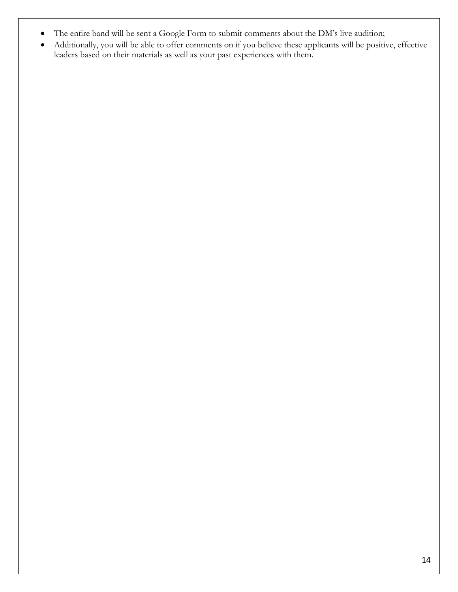- The entire band will be sent a Google Form to submit comments about the DM's live audition;
- Additionally, you will be able to offer comments on if you believe these applicants will be positive, effective leaders based on their materials as well as your past experiences with them.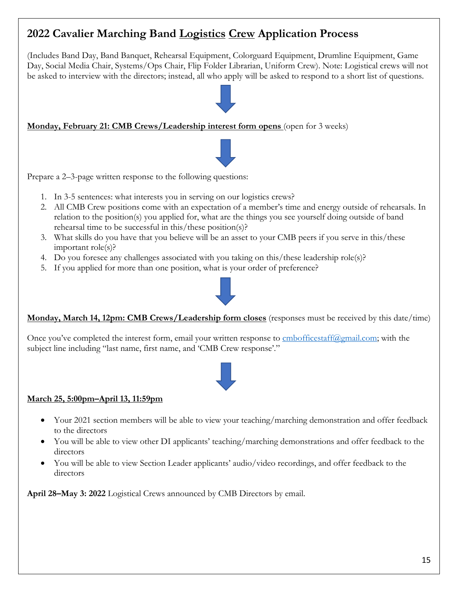# **2022 Cavalier Marching Band Logistics Crew Application Process**

(Includes Band Day, Band Banquet, Rehearsal Equipment, Colorguard Equipment, Drumline Equipment, Game Day, Social Media Chair, Systems/Ops Chair, Flip Folder Librarian, Uniform Crew). Note: Logistical crews will not be asked to interview with the directors; instead, all who apply will be asked to respond to a short list of questions.

### **Monday, February 21: CMB Crews/Leadership interest form opens** (open for 3 weeks)



Prepare a 2–3-page written response to the following questions:

- 1. In 3-5 sentences: what interests you in serving on our logistics crews?
- 2. All CMB Crew positions come with an expectation of a member's time and energy outside of rehearsals. In relation to the position(s) you applied for, what are the things you see yourself doing outside of band rehearsal time to be successful in this/these position(s)?
- 3. What skills do you have that you believe will be an asset to your CMB peers if you serve in this/these important role(s)?
- 4. Do you foresee any challenges associated with you taking on this/these leadership role(s)?
- 5. If you applied for more than one position, what is your order of preference?



**Monday, March 14, 12pm: CMB Crews/Leadership form closes** (responses must be received by this date/time)

Once you've completed the interest form, email your written response to <u>cmbofficestaff@gmail.com</u>; with the subject line including "last name, first name, and 'CMB Crew response'."



### **March 25, 5:00pm–April 13, 11:59pm**

- Your 2021 section members will be able to view your teaching/marching demonstration and offer feedback to the directors
- You will be able to view other DI applicants' teaching/marching demonstrations and offer feedback to the directors
- You will be able to view Section Leader applicants' audio/video recordings, and offer feedback to the directors

**April 28–May 3: 2022** Logistical Crews announced by CMB Directors by email.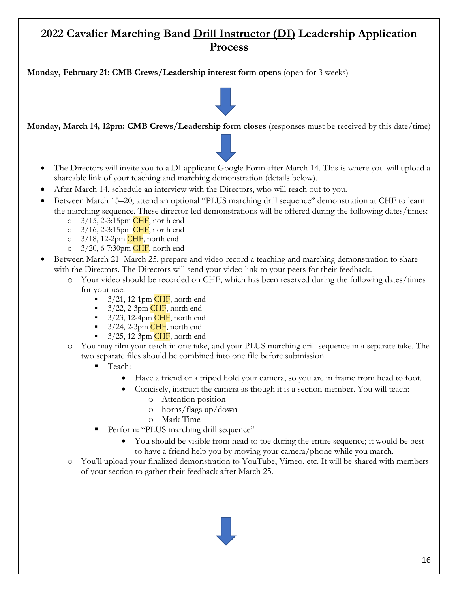# **2022 Cavalier Marching Band Drill Instructor (DI) Leadership Application Process**

**Monday, February 21: CMB Crews/Leadership interest form opens** (open for 3 weeks)

**Monday, March 14, 12pm: CMB Crews/Leadership form closes** (responses must be received by this date/time)

- The Directors will invite you to a DI applicant Google Form after March 14. This is where you will upload a shareable link of your teaching and marching demonstration (details below).
- After March 14, schedule an interview with the Directors, who will reach out to you.
- Between March 15–20, attend an optional "PLUS marching drill sequence" demonstration at CHF to learn the marching sequence. These director-led demonstrations will be offered during the following dates/times:
	- $\degree$  3/15, 2-3:15pm CHF, north end
	- o  $3/16$ , 2-3:15pm CHF, north end
	- $\circ$  3/18, 12-2pm CHF, north end
	- $\degree$  3/20, 6-7:30pm CHF, north end
- Between March 21–March 25, prepare and video record a teaching and marching demonstration to share with the Directors. The Directors will send your video link to your peers for their feedback.
	- o Your video should be recorded on CHF, which has been reserved during the following dates/times for your use:
		- $\blacksquare$  3/21, 12-1pm CHF, north end
		- $\blacksquare$  3/22, 2-3pm CHF, north end
		- $\blacksquare$  3/23, 12-4pm CHF, north end
		- $\blacksquare$  3/24, 2-3pm CHF, north end
		- $\blacksquare$  3/25, 12-3pm CHF, north end
	- o You may film your teach in one take, and your PLUS marching drill sequence in a separate take. The two separate files should be combined into one file before submission.
		- § Teach:
			- Have a friend or a tripod hold your camera, so you are in frame from head to foot.
			- Concisely, instruct the camera as though it is a section member. You will teach:
				- o Attention position
				- o horns/flags up/down
				- o Mark Time
			- Perform: "PLUS marching drill sequence"
				- You should be visible from head to toe during the entire sequence; it would be best to have a friend help you by moving your camera/phone while you march.
	- o You'll upload your finalized demonstration to YouTube, Vimeo, etc. It will be shared with members of your section to gather their feedback after March 25.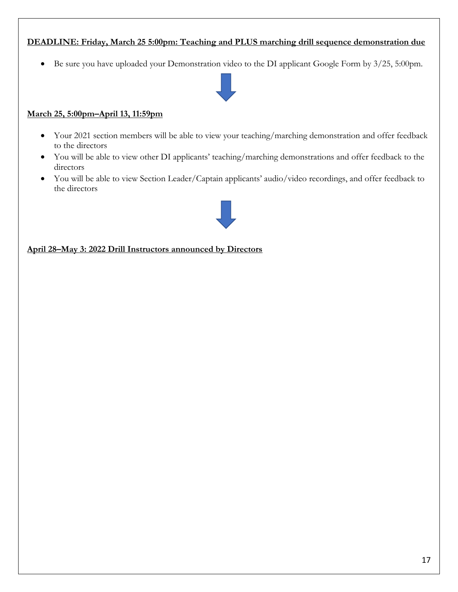### **DEADLINE: Friday, March 25 5:00pm: Teaching and PLUS marching drill sequence demonstration due**

• Be sure you have uploaded your Demonstration video to the DI applicant Google Form by 3/25, 5:00pm.



#### **March 25, 5:00pm–April 13, 11:59pm**

- Your 2021 section members will be able to view your teaching/marching demonstration and offer feedback to the directors
- You will be able to view other DI applicants' teaching/marching demonstrations and offer feedback to the directors
- You will be able to view Section Leader/Captain applicants' audio/video recordings, and offer feedback to the directors



**April 28–May 3: 2022 Drill Instructors announced by Directors**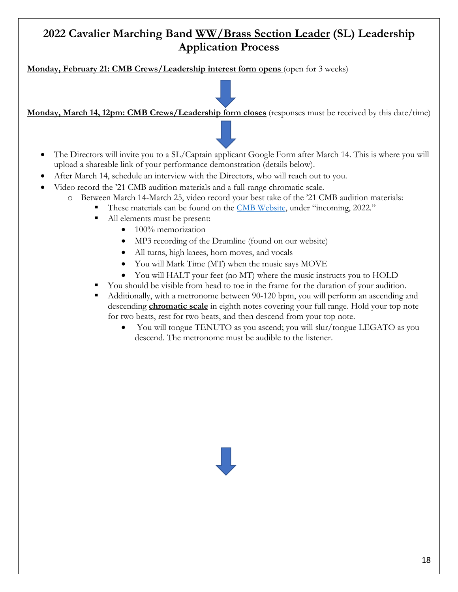# **2022 Cavalier Marching Band WW/Brass Section Leader (SL) Leadership Application Process**

**Monday, February 21: CMB Crews/Leadership interest form opens** (open for 3 weeks)

**Monday, March 14, 12pm: CMB Crews/Leadership form closes** (responses must be received by this date/time)

- The Directors will invite you to a SL/Captain applicant Google Form after March 14. This is where you will upload a shareable link of your performance demonstration (details below).
- After March 14, schedule an interview with the Directors, who will reach out to you.
- Video record the '21 CMB audition materials and a full-range chromatic scale.
	- o Between March 14-March 25, video record your best take of the '21 CMB audition materials:
		- These materials can be found on the CMB Website, under "incoming, 2022."
			- All elements must be present:
				- 100% memorization
				- MP3 recording of the Drumline (found on our website)
				- All turns, high knees, horn moves, and vocals
				- You will Mark Time (MT) when the music says MOVE
				- You will HALT your feet (no MT) where the music instructs you to HOLD
			- § You should be visible from head to toe in the frame for the duration of your audition.
			- Additionally, with a metronome between 90-120 bpm, you will perform an ascending and descending **chromatic scale** in eighth notes covering your full range. Hold your top note for two beats, rest for two beats, and then descend from your top note.
				- You will tongue TENUTO as you ascend; you will slur/tongue LEGATO as you descend. The metronome must be audible to the listener.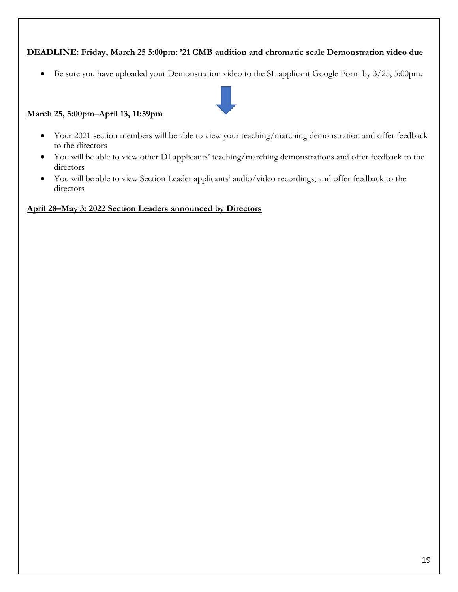### **DEADLINE: Friday, March 25 5:00pm: '21 CMB audition and chromatic scale Demonstration video due**

• Be sure you have uploaded your Demonstration video to the SL applicant Google Form by 3/25, 5:00pm.



### **March 25, 5:00pm–April 13, 11:59pm**

- Your 2021 section members will be able to view your teaching/marching demonstration and offer feedback to the directors
- You will be able to view other DI applicants' teaching/marching demonstrations and offer feedback to the directors
- You will be able to view Section Leader applicants' audio/video recordings, and offer feedback to the directors

#### **April 28–May 3: 2022 Section Leaders announced by Directors**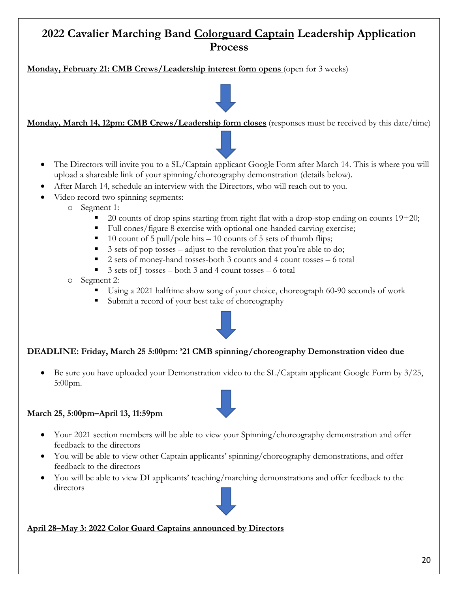## **2022 Cavalier Marching Band Colorguard Captain Leadership Application Process**

**Monday, February 21: CMB Crews/Leadership interest form opens** (open for 3 weeks)

**Monday, March 14, 12pm: CMB Crews/Leadership form closes** (responses must be received by this date/time)

- The Directors will invite you to a SL/Captain applicant Google Form after March 14. This is where you will upload a shareable link of your spinning/choreography demonstration (details below).
- After March 14, schedule an interview with the Directors, who will reach out to you.
- Video record two spinning segments:
	- o Segment 1:
		- 20 counts of drop spins starting from right flat with a drop-stop ending on counts 19+20;
		- Full cones/figure 8 exercise with optional one-handed carving exercise;
		- 10 count of 5 pull/pole hits  $-10$  counts of 5 sets of thumb flips;
		- $\overline{\phantom{a}}$  3 sets of pop tosses adjust to the revolution that you're able to do;
		- 2 sets of money-hand tosses-both 3 counts and 4 count tosses 6 total
		- 3 sets of J-tosses both 3 and 4 count tosses 6 total
	- o Segment 2:
		- Using a 2021 halftime show song of your choice, choreograph 60-90 seconds of work
		- Submit a record of your best take of choreography



### **DEADLINE: Friday, March 25 5:00pm: '21 CMB spinning/choreography Demonstration video due**

• Be sure you have uploaded your Demonstration video to the SL/Captain applicant Google Form by 3/25, 5:00pm.

#### **March 25, 5:00pm–April 13, 11:59pm**

- Your 2021 section members will be able to view your Spinning/choreography demonstration and offer feedback to the directors
- You will be able to view other Captain applicants' spinning/choreography demonstrations, and offer feedback to the directors
- You will be able to view DI applicants' teaching/marching demonstrations and offer feedback to the directors

#### **April 28–May 3: 2022 Color Guard Captains announced by Directors**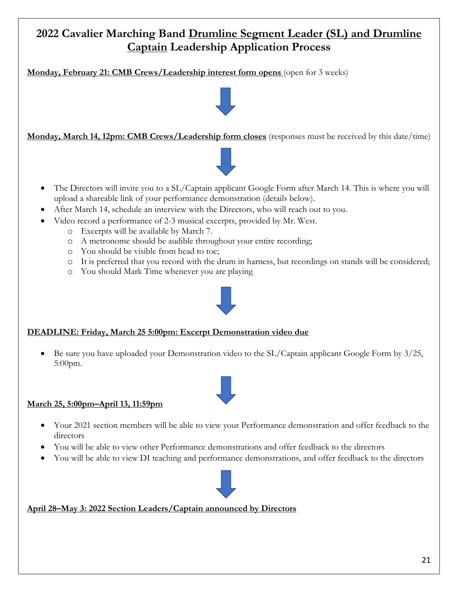# **2022 Cavalier Marching Band Drumline Segment Leader (SL) and Drumline Captain Leadership Application Process**

**Monday, February 21: CMB Crews/Leadership interest form opens** (open for 3 weeks)



- The Directors will invite you to a SL/Captain applicant Google Form after March 14. This is where you will upload a shareable link of your performance demonstration (details below).
- After March 14, schedule an interview with the Directors, who will reach out to you.
	- Video record a performance of 2-3 musical excerpts, provided by Mr. West.
		- o Excerpts will be available by March 7.
		- o A metronome should be audible throughout your entire recording;
		- o You should be visible from head to toe;
		- o It is preferred that you record with the drum in harness, but recordings on stands will be considered;
		- o You should Mark Time whenever you are playing



### **DEADLINE: Friday, March 25 5:00pm: Excerpt Demonstration video due**

• Be sure you have uploaded your Demonstration video to the SL/Captain applicant Google Form by 3/25, 5:00pm.

#### **March 25, 5:00pm–April 13, 11:59pm**

- Your 2021 section members will be able to view your Performance demonstration and offer feedback to the directors
- You will be able to view other Performance demonstrations and offer feedback to the directors
- You will be able to view DI teaching and performance demonstrations, and offer feedback to the directors



#### **April 28–May 3: 2022 Section Leaders/Captain announced by Directors**